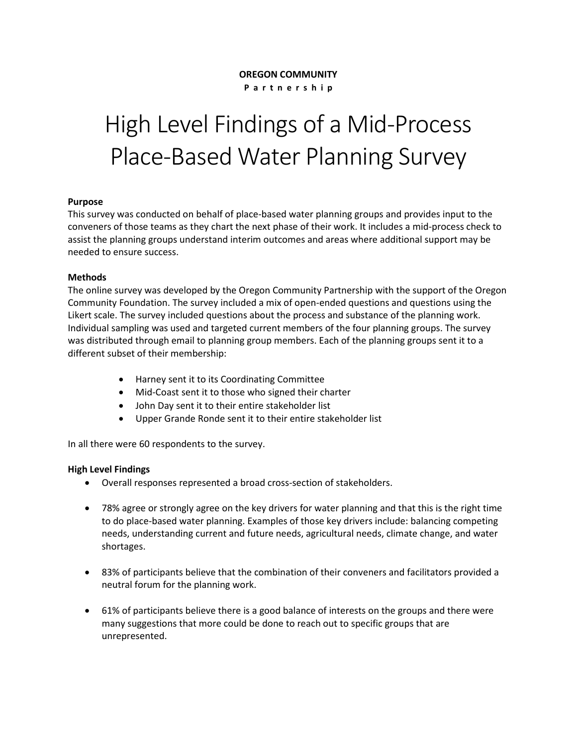# **OREGON COMMUNITY**

**P a r t n e r s h i p**

# High Level Findings of a Mid-Process Place-Based Water Planning Survey

# **Purpose**

This survey was conducted on behalf of place-based water planning groups and provides input to the conveners of those teams as they chart the next phase of their work. It includes a mid-process check to assist the planning groups understand interim outcomes and areas where additional support may be needed to ensure success.

#### **Methods**

The online survey was developed by the Oregon Community Partnership with the support of the Oregon Community Foundation. The survey included a mix of open-ended questions and questions using the Likert scale. The survey included questions about the process and substance of the planning work. Individual sampling was used and targeted current members of the four planning groups. The survey was distributed through email to planning group members. Each of the planning groups sent it to a different subset of their membership:

- Harney sent it to its Coordinating Committee
- Mid-Coast sent it to those who signed their charter
- John Day sent it to their entire stakeholder list
- Upper Grande Ronde sent it to their entire stakeholder list

In all there were 60 respondents to the survey.

# **High Level Findings**

- Overall responses represented a broad cross-section of stakeholders.
- 78% agree or strongly agree on the key drivers for water planning and that this is the right time to do place-based water planning. Examples of those key drivers include: balancing competing needs, understanding current and future needs, agricultural needs, climate change, and water shortages.
- 83% of participants believe that the combination of their conveners and facilitators provided a neutral forum for the planning work.
- 61% of participants believe there is a good balance of interests on the groups and there were many suggestions that more could be done to reach out to specific groups that are unrepresented.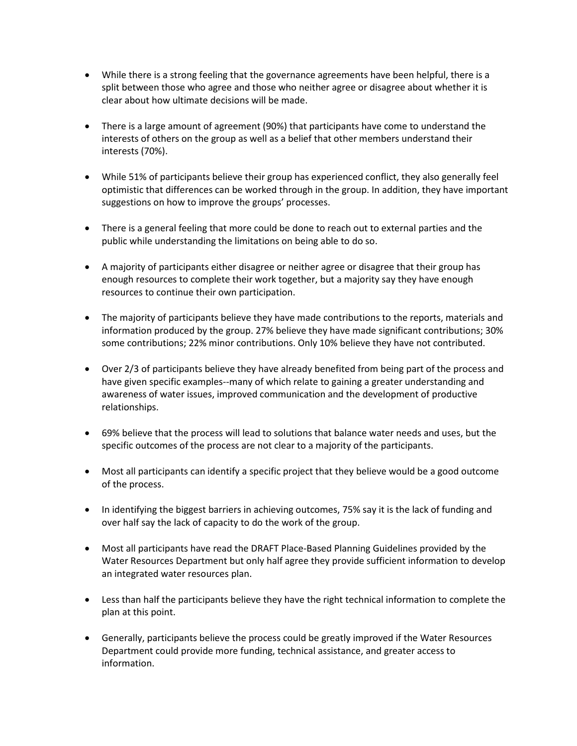- While there is a strong feeling that the governance agreements have been helpful, there is a split between those who agree and those who neither agree or disagree about whether it is clear about how ultimate decisions will be made.
- There is a large amount of agreement (90%) that participants have come to understand the interests of others on the group as well as a belief that other members understand their interests (70%).
- While 51% of participants believe their group has experienced conflict, they also generally feel optimistic that differences can be worked through in the group. In addition, they have important suggestions on how to improve the groups' processes.
- There is a general feeling that more could be done to reach out to external parties and the public while understanding the limitations on being able to do so.
- A majority of participants either disagree or neither agree or disagree that their group has enough resources to complete their work together, but a majority say they have enough resources to continue their own participation.
- The majority of participants believe they have made contributions to the reports, materials and information produced by the group. 27% believe they have made significant contributions; 30% some contributions; 22% minor contributions. Only 10% believe they have not contributed.
- Over 2/3 of participants believe they have already benefited from being part of the process and have given specific examples--many of which relate to gaining a greater understanding and awareness of water issues, improved communication and the development of productive relationships.
- 69% believe that the process will lead to solutions that balance water needs and uses, but the specific outcomes of the process are not clear to a majority of the participants.
- Most all participants can identify a specific project that they believe would be a good outcome of the process.
- In identifying the biggest barriers in achieving outcomes, 75% say it is the lack of funding and over half say the lack of capacity to do the work of the group.
- Most all participants have read the DRAFT Place-Based Planning Guidelines provided by the Water Resources Department but only half agree they provide sufficient information to develop an integrated water resources plan.
- Less than half the participants believe they have the right technical information to complete the plan at this point.
- Generally, participants believe the process could be greatly improved if the Water Resources Department could provide more funding, technical assistance, and greater access to information.